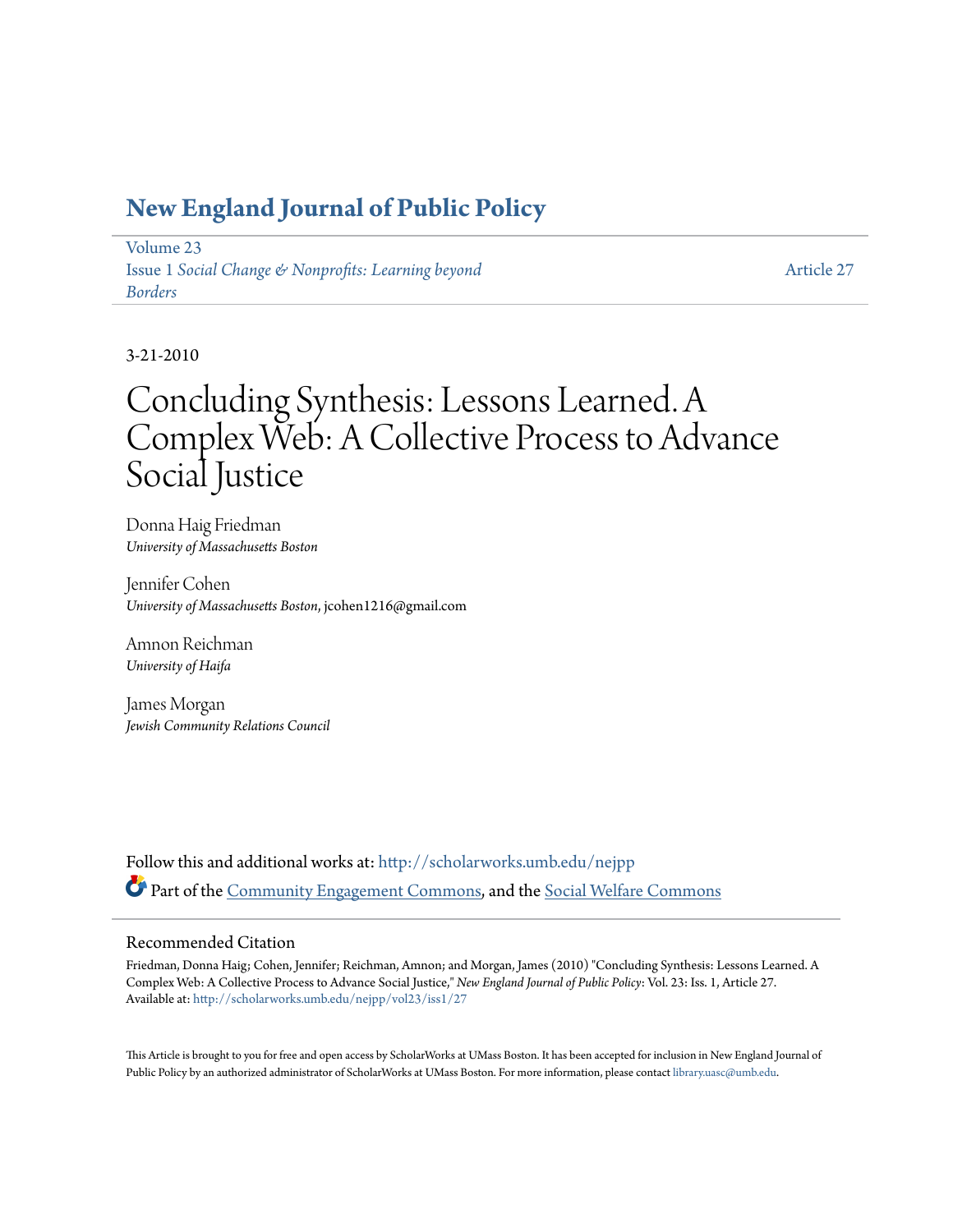## **[New England Journal of Public Policy](http://scholarworks.umb.edu/nejpp?utm_source=scholarworks.umb.edu%2Fnejpp%2Fvol23%2Fiss1%2F27&utm_medium=PDF&utm_campaign=PDFCoverPages)**

[Volume 23](http://scholarworks.umb.edu/nejpp/vol23?utm_source=scholarworks.umb.edu%2Fnejpp%2Fvol23%2Fiss1%2F27&utm_medium=PDF&utm_campaign=PDFCoverPages) Issue 1 *[Social Change & Nonprofits: Learning beyond](http://scholarworks.umb.edu/nejpp/vol23/iss1?utm_source=scholarworks.umb.edu%2Fnejpp%2Fvol23%2Fiss1%2F27&utm_medium=PDF&utm_campaign=PDFCoverPages) [Borders](http://scholarworks.umb.edu/nejpp/vol23/iss1?utm_source=scholarworks.umb.edu%2Fnejpp%2Fvol23%2Fiss1%2F27&utm_medium=PDF&utm_campaign=PDFCoverPages)*

[Article 27](http://scholarworks.umb.edu/nejpp/vol23/iss1/27?utm_source=scholarworks.umb.edu%2Fnejpp%2Fvol23%2Fiss1%2F27&utm_medium=PDF&utm_campaign=PDFCoverPages)

3-21-2010

# Concluding Synthesis: Lessons Learned. A Complex Web: A Collective Process to Advance Social Justice

Donna Haig Friedman *University of Massachusetts Boston*

Jennifer Cohen *University of Massachusetts Boston*, jcohen1216@gmail.com

Amnon Reichman *University of Haifa*

James Morgan *Jewish Community Relations Council*

Follow this and additional works at: [http://scholarworks.umb.edu/nejpp](http://scholarworks.umb.edu/nejpp?utm_source=scholarworks.umb.edu%2Fnejpp%2Fvol23%2Fiss1%2F27&utm_medium=PDF&utm_campaign=PDFCoverPages) Part of the [Community Engagement Commons](http://network.bepress.com/hgg/discipline/1028?utm_source=scholarworks.umb.edu%2Fnejpp%2Fvol23%2Fiss1%2F27&utm_medium=PDF&utm_campaign=PDFCoverPages), and the [Social Welfare Commons](http://network.bepress.com/hgg/discipline/401?utm_source=scholarworks.umb.edu%2Fnejpp%2Fvol23%2Fiss1%2F27&utm_medium=PDF&utm_campaign=PDFCoverPages)

#### Recommended Citation

Friedman, Donna Haig; Cohen, Jennifer; Reichman, Amnon; and Morgan, James (2010) "Concluding Synthesis: Lessons Learned. A Complex Web: A Collective Process to Advance Social Justice," *New England Journal of Public Policy*: Vol. 23: Iss. 1, Article 27. Available at: [http://scholarworks.umb.edu/nejpp/vol23/iss1/27](http://scholarworks.umb.edu/nejpp/vol23/iss1/27?utm_source=scholarworks.umb.edu%2Fnejpp%2Fvol23%2Fiss1%2F27&utm_medium=PDF&utm_campaign=PDFCoverPages)

This Article is brought to you for free and open access by ScholarWorks at UMass Boston. It has been accepted for inclusion in New England Journal of Public Policy by an authorized administrator of ScholarWorks at UMass Boston. For more information, please contact [library.uasc@umb.edu](mailto:library.uasc@umb.edu).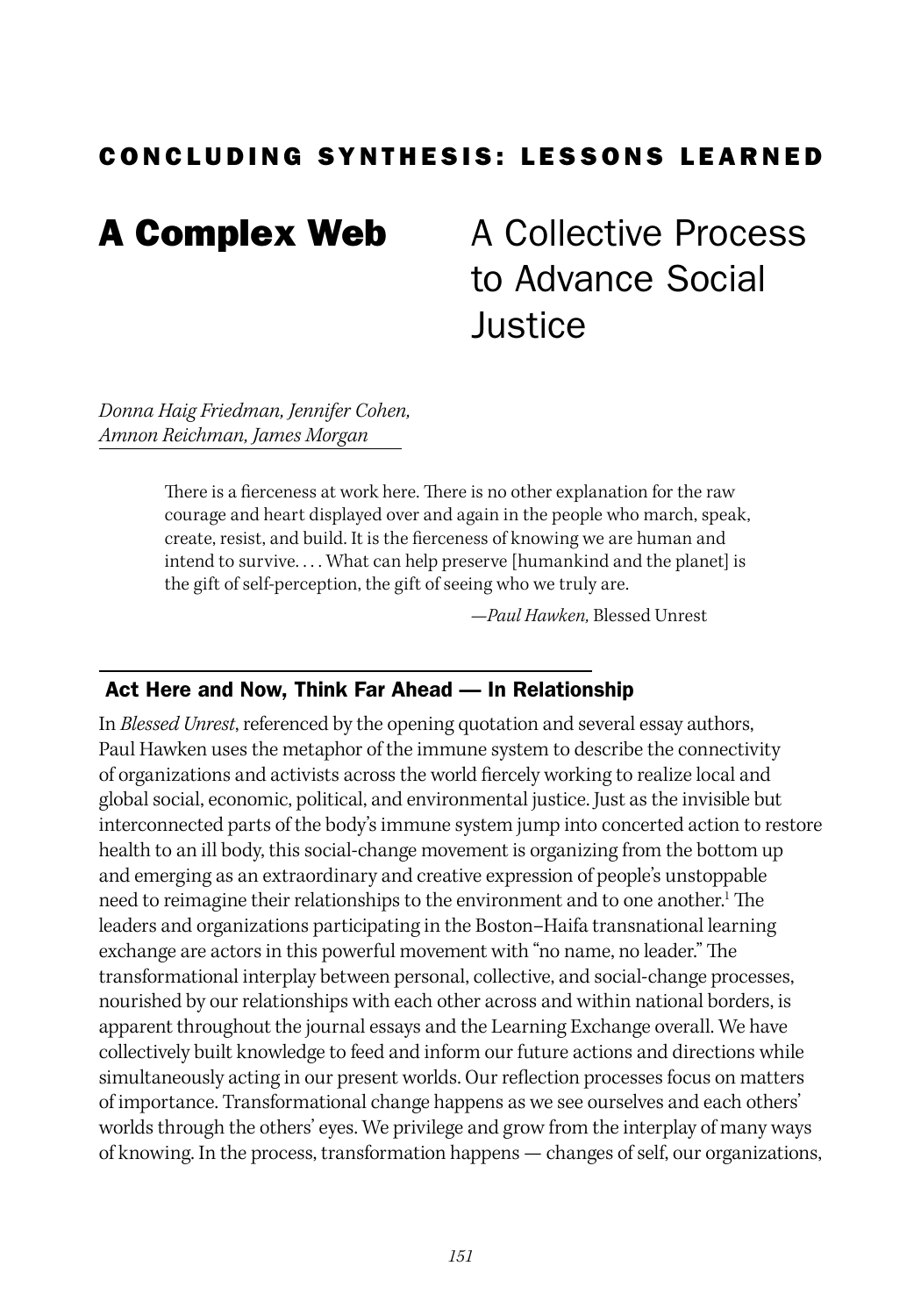## CONCLUDING SYNTHESIS: LESSONS LEARNED

**A Complex Web** A Collective Process to Advance Social **Justice** 

*Donna Haig Friedman, Jennifer Cohen, Amnon Reichman, James Morgan*

> There is a fierceness at work here. There is no other explanation for the raw courage and heart displayed over and again in the people who march, speak, create, resist, and build. It is the fierceness of knowing we are human and intend to survive. . . . What can help preserve [humankind and the planet] is the gift of self-perception, the gift of seeing who we truly are.

> > *—Paul Hawken,* Blessed Unrest

#### Act Here and Now, Think Far Ahead — In Relationship

In *Blessed Unrest*, referenced by the opening quotation and several essay authors, Paul Hawken uses the metaphor of the immune system to describe the connectivity of organizations and activists across the world fiercely working to realize local and global social, economic, political, and environmental justice. Just as the invisible but interconnected parts of the body's immune system jump into concerted action to restore health to an ill body, this social-change movement is organizing from the bottom up and emerging as an extraordinary and creative expression of people's unstoppable need to reimagine their relationships to the environment and to one another.1 The leaders and organizations participating in the Boston–Haifa transnational learning exchange are actors in this powerful movement with "no name, no leader." The transformational interplay between personal, collective, and social-change processes, nourished by our relationships with each other across and within national borders, is apparent throughout the journal essays and the Learning Exchange overall. We have collectively built knowledge to feed and inform our future actions and directions while simultaneously acting in our present worlds. Our reflection processes focus on matters of importance. Transformational change happens as we see ourselves and each others' worlds through the others' eyes. We privilege and grow from the interplay of many ways of knowing. In the process, transformation happens — changes of self, our organizations,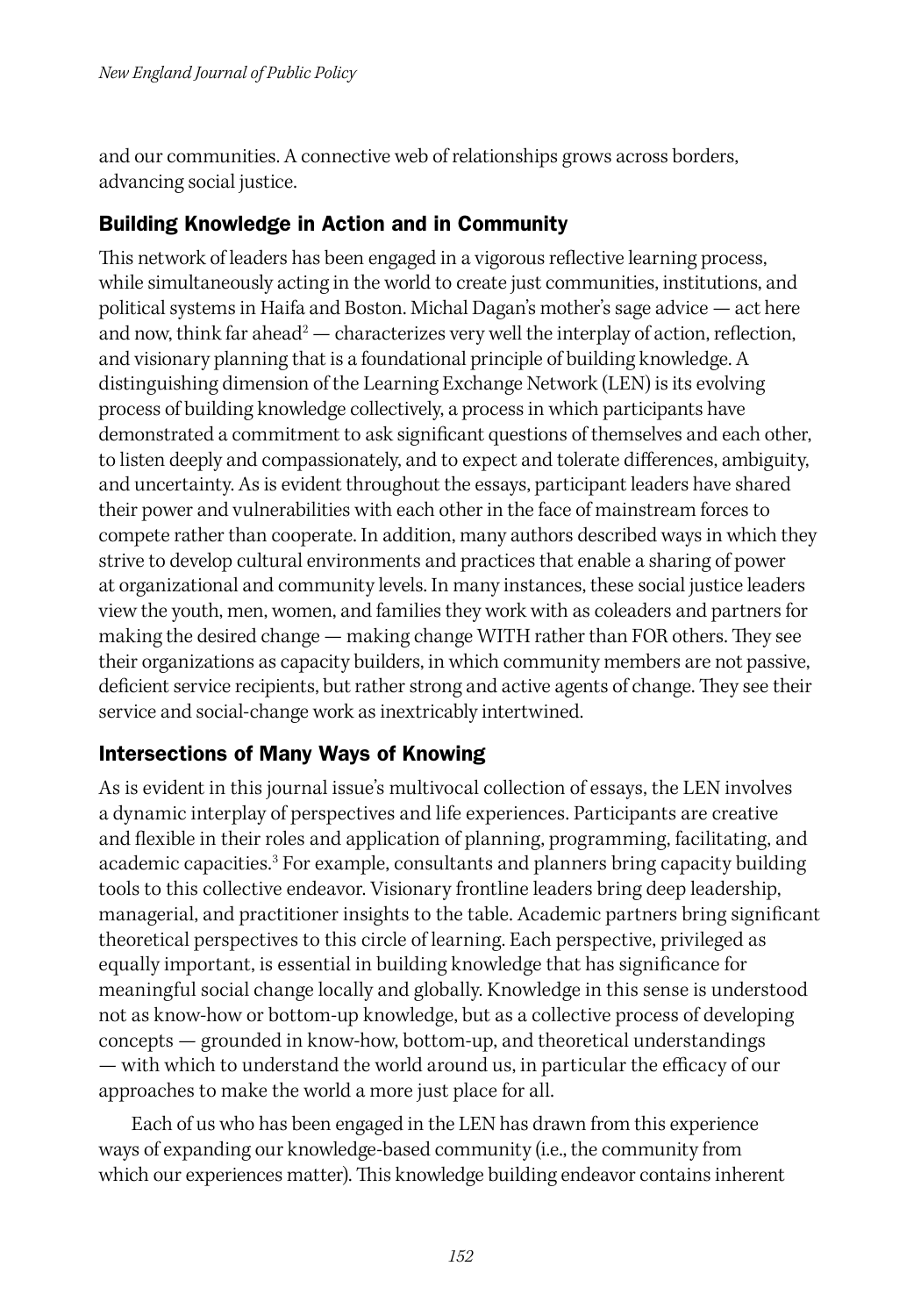and our communities. A connective web of relationships grows across borders, advancing social justice.

### Building Knowledge in Action and in Community

This network of leaders has been engaged in a vigorous reflective learning process, while simultaneously acting in the world to create just communities, institutions, and political systems in Haifa and Boston. Michal Dagan's mother's sage advice — act here and now, think far ahead<sup>2</sup>  $-$  characterizes very well the interplay of action, reflection, and visionary planning that is a foundational principle of building knowledge. A distinguishing dimension of the Learning Exchange Network (LEN) is its evolving process of building knowledge collectively, a process in which participants have demonstrated a commitment to ask significant questions of themselves and each other, to listen deeply and compassionately, and to expect and tolerate differences, ambiguity, and uncertainty. As is evident throughout the essays, participant leaders have shared their power and vulnerabilities with each other in the face of mainstream forces to compete rather than cooperate. In addition, many authors described ways in which they strive to develop cultural environments and practices that enable a sharing of power at organizational and community levels. In many instances, these social justice leaders view the youth, men, women, and families they work with as coleaders and partners for making the desired change — making change WITH rather than FOR others. They see their organizations as capacity builders, in which community members are not passive, deficient service recipients, but rather strong and active agents of change. They see their service and social-change work as inextricably intertwined.

#### Intersections of Many Ways of Knowing

As is evident in this journal issue's multivocal collection of essays, the LEN involves a dynamic interplay of perspectives and life experiences. Participants are creative and flexible in their roles and application of planning, programming, facilitating, and academic capacities.<sup>3</sup> For example, consultants and planners bring capacity building tools to this collective endeavor. Visionary frontline leaders bring deep leadership, managerial, and practitioner insights to the table. Academic partners bring significant theoretical perspectives to this circle of learning. Each perspective, privileged as equally important, is essential in building knowledge that has significance for meaningful social change locally and globally. Knowledge in this sense is understood not as know-how or bottom-up knowledge, but as a collective process of developing concepts — grounded in know-how, bottom-up, and theoretical understandings — with which to understand the world around us, in particular the efficacy of our approaches to make the world a more just place for all.

Each of us who has been engaged in the LEN has drawn from this experience ways of expanding our knowledge-based community (i.e., the community from which our experiences matter). This knowledge building endeavor contains inherent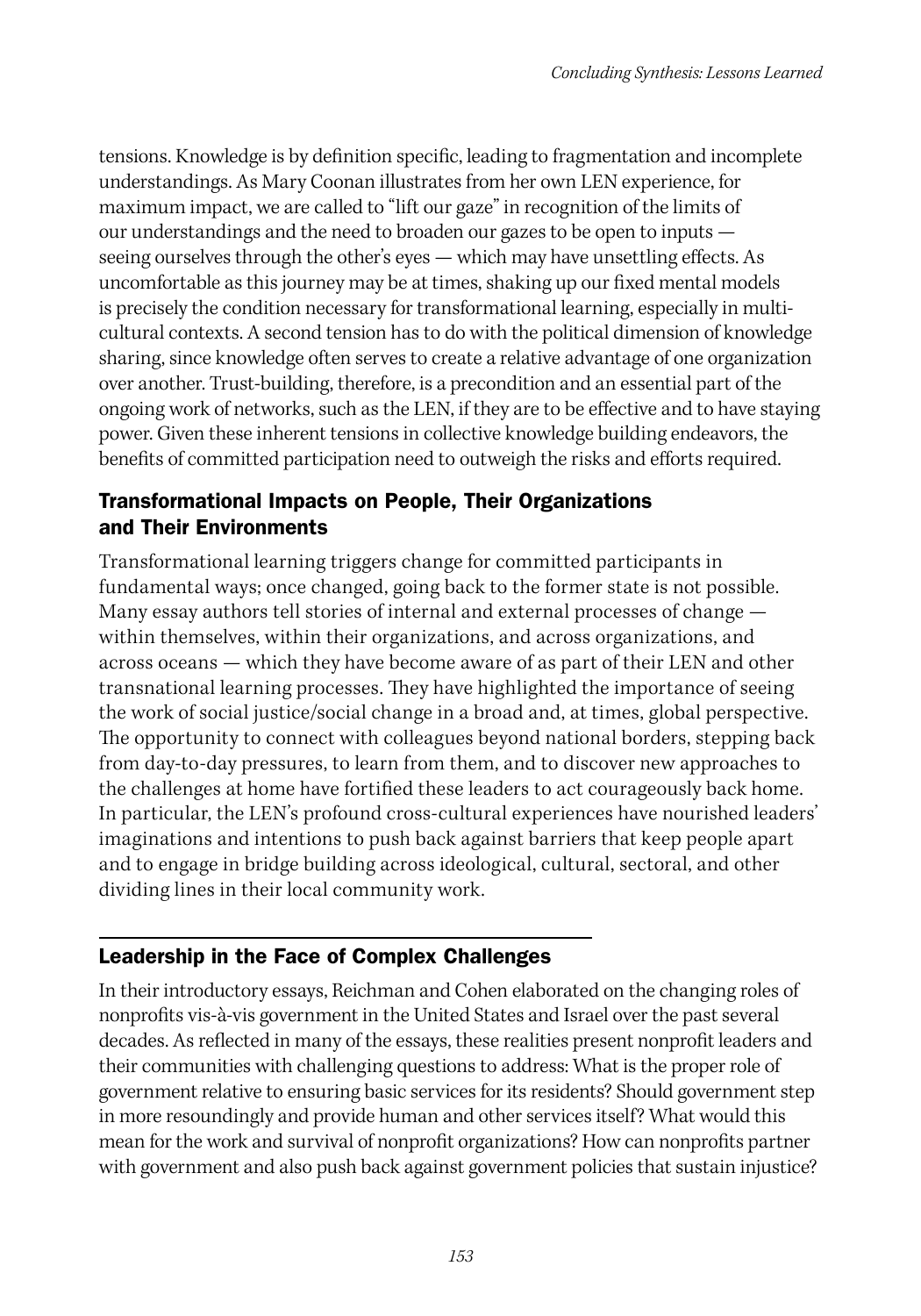tensions. Knowledge is by definition specific, leading to fragmentation and incomplete understandings. As Mary Coonan illustrates from her own LEN experience, for maximum impact, we are called to "lift our gaze" in recognition of the limits of our understandings and the need to broaden our gazes to be open to inputs seeing ourselves through the other's eyes — which may have unsettling effects. As uncomfortable as this journey may be at times, shaking up our fixed mental models is precisely the condition necessary for transformational learning, especially in multicultural contexts. A second tension has to do with the political dimension of knowledge sharing, since knowledge often serves to create a relative advantage of one organization over another. Trust-building, therefore, is a precondition and an essential part of the ongoing work of networks, such as the LEN, if they are to be effective and to have staying power. Given these inherent tensions in collective knowledge building endeavors, the benefits of committed participation need to outweigh the risks and efforts required.

#### Transformational Impacts on People, Their Organizations and Their Environments

Transformational learning triggers change for committed participants in fundamental ways; once changed, going back to the former state is not possible. Many essay authors tell stories of internal and external processes of change within themselves, within their organizations, and across organizations, and across oceans — which they have become aware of as part of their LEN and other transnational learning processes. They have highlighted the importance of seeing the work of social justice/social change in a broad and, at times, global perspective. The opportunity to connect with colleagues beyond national borders, stepping back from day-to-day pressures, to learn from them, and to discover new approaches to the challenges at home have fortified these leaders to act courageously back home. In particular, the LEN's profound cross-cultural experiences have nourished leaders' imaginations and intentions to push back against barriers that keep people apart and to engage in bridge building across ideological, cultural, sectoral, and other dividing lines in their local community work.

#### Leadership in the Face of Complex Challenges

In their introductory essays, Reichman and Cohen elaborated on the changing roles of nonprofits vis-à-vis government in the United States and Israel over the past several decades. As reflected in many of the essays, these realities present nonprofit leaders and their communities with challenging questions to address: What is the proper role of government relative to ensuring basic services for its residents? Should government step in more resoundingly and provide human and other services itself? What would this mean for the work and survival of nonprofit organizations? How can nonprofits partner with government and also push back against government policies that sustain injustice?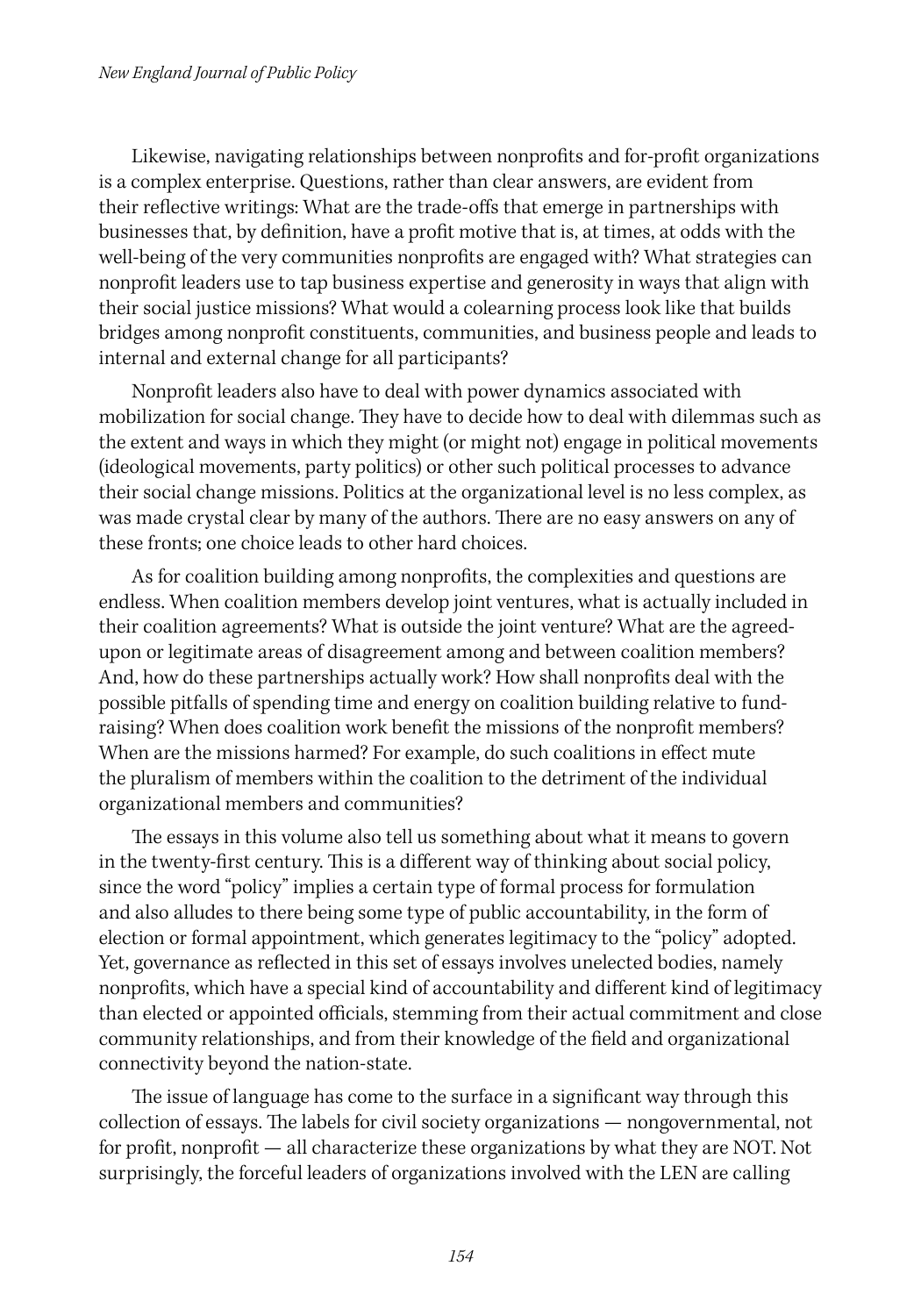Likewise, navigating relationships between nonprofits and for-profit organizations is a complex enterprise. Questions, rather than clear answers, are evident from their reflective writings: What are the trade-offs that emerge in partnerships with businesses that, by definition, have a profit motive that is, at times, at odds with the well-being of the very communities nonprofits are engaged with? What strategies can nonprofit leaders use to tap business expertise and generosity in ways that align with their social justice missions? What would a colearning process look like that builds bridges among nonprofit constituents, communities, and business people and leads to internal and external change for all participants?

Nonprofit leaders also have to deal with power dynamics associated with mobilization for social change. They have to decide how to deal with dilemmas such as the extent and ways in which they might (or might not) engage in political movements (ideological movements, party politics) or other such political processes to advance their social change missions. Politics at the organizational level is no less complex, as was made crystal clear by many of the authors. There are no easy answers on any of these fronts; one choice leads to other hard choices.

As for coalition building among nonprofits, the complexities and questions are endless. When coalition members develop joint ventures, what is actually included in their coalition agreements? What is outside the joint venture? What are the agreedupon or legitimate areas of disagreement among and between coalition members? And, how do these partnerships actually work? How shall nonprofits deal with the possible pitfalls of spending time and energy on coalition building relative to fundraising? When does coalition work benefit the missions of the nonprofit members? When are the missions harmed? For example, do such coalitions in effect mute the pluralism of members within the coalition to the detriment of the individual organizational members and communities?

The essays in this volume also tell us something about what it means to govern in the twenty-first century. This is a different way of thinking about social policy, since the word "policy" implies a certain type of formal process for formulation and also alludes to there being some type of public accountability, in the form of election or formal appointment, which generates legitimacy to the "policy" adopted. Yet, governance as reflected in this set of essays involves unelected bodies, namely nonprofits, which have a special kind of accountability and different kind of legitimacy than elected or appointed officials, stemming from their actual commitment and close community relationships, and from their knowledge of the field and organizational connectivity beyond the nation-state.

The issue of language has come to the surface in a significant way through this collection of essays. The labels for civil society organizations — nongovernmental, not for profit, nonprofit — all characterize these organizations by what they are NOT. Not surprisingly, the forceful leaders of organizations involved with the LEN are calling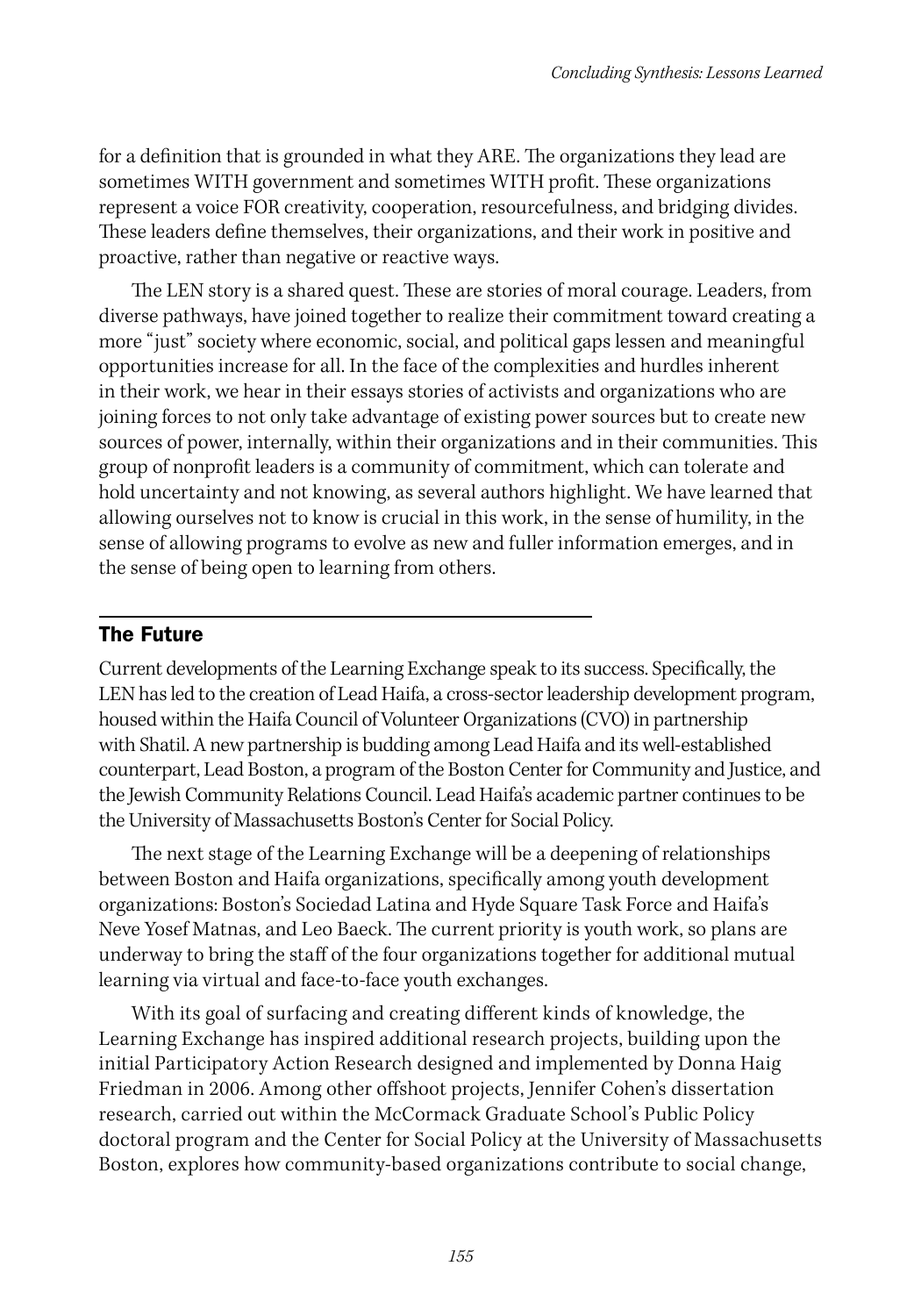for a definition that is grounded in what they ARE. The organizations they lead are sometimes WITH government and sometimes WITH profit. These organizations represent a voice FOR creativity, cooperation, resourcefulness, and bridging divides. These leaders define themselves, their organizations, and their work in positive and proactive, rather than negative or reactive ways.

The LEN story is a shared quest. These are stories of moral courage. Leaders, from diverse pathways, have joined together to realize their commitment toward creating a more "just" society where economic, social, and political gaps lessen and meaningful opportunities increase for all. In the face of the complexities and hurdles inherent in their work, we hear in their essays stories of activists and organizations who are joining forces to not only take advantage of existing power sources but to create new sources of power, internally, within their organizations and in their communities. This group of nonprofit leaders is a community of commitment, which can tolerate and hold uncertainty and not knowing, as several authors highlight. We have learned that allowing ourselves not to know is crucial in this work, in the sense of humility, in the sense of allowing programs to evolve as new and fuller information emerges, and in the sense of being open to learning from others.

#### The Future

Current developments of the Learning Exchange speak to its success. Specifically, the LEN has led to the creation of Lead Haifa, a cross-sector leadership development program, housed within the Haifa Council of Volunteer Organizations (CVO) in partnership with Shatil. A new partnership is budding among Lead Haifa and its well-established counterpart, Lead Boston, a program of the Boston Center for Community and Justice, and the Jewish Community Relations Council. Lead Haifa's academic partner continues to be the University of Massachusetts Boston's Center for Social Policy.

The next stage of the Learning Exchange will be a deepening of relationships between Boston and Haifa organizations, specifically among youth development organizations: Boston's Sociedad Latina and Hyde Square Task Force and Haifa's Neve Yosef Matnas, and Leo Baeck. The current priority is youth work, so plans are underway to bring the staff of the four organizations together for additional mutual learning via virtual and face-to-face youth exchanges.

With its goal of surfacing and creating different kinds of knowledge, the Learning Exchange has inspired additional research projects, building upon the initial Participatory Action Research designed and implemented by Donna Haig Friedman in 2006. Among other offshoot projects, Jennifer Cohen's dissertation research, carried out within the McCormack Graduate School's Public Policy doctoral program and the Center for Social Policy at the University of Massachusetts Boston, explores how community-based organizations contribute to social change,